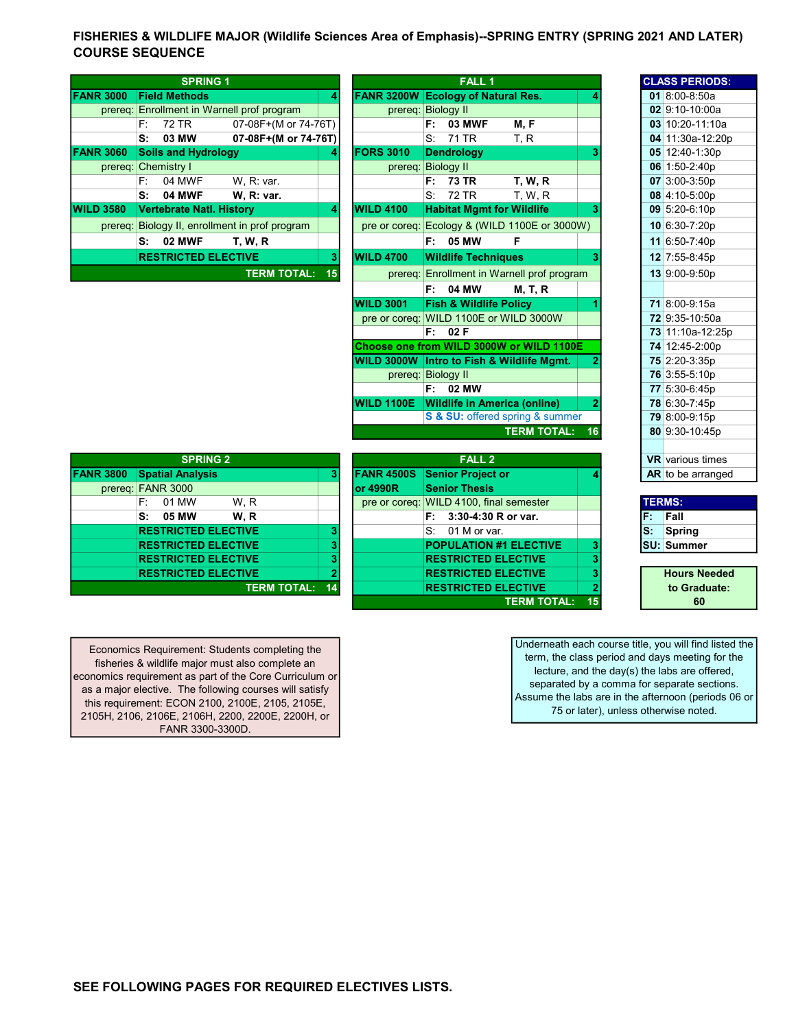## FISHERIES & WILDLIFE MAJOR (Wildlife Sciences Area of Emphasis)--SPRING ENTRY (SPRING 2021 AND LATER) COURSE SEQUENCE

|                  |      | <b>SPRING 1</b>                 |                                        |    |                   |    | <b>FALL 1</b>                             |                                    |  | <b>CLASS PERIOD:</b> |
|------------------|------|---------------------------------|----------------------------------------|----|-------------------|----|-------------------------------------------|------------------------------------|--|----------------------|
| <b>FANR 3000</b> |      | <b>Field Methods</b>            |                                        | 4  |                   |    | <b>FANR 3200W Ecology of Natural Res.</b> |                                    |  | 01 8:00-8:50a        |
| prereq:          |      |                                 | Enrollment in Warnell prof program     |    |                   |    | prereg: Biology II                        |                                    |  | $02$ 9:10-10:00a     |
|                  | F: I | 72 TR                           | 07-08F+(M or 74-76T)                   |    |                   | F: | <b>03 MWF</b>                             | M, F                               |  | 03 10:20-11:10       |
|                  | s:   | 03 MW                           | 07-08F+(M or 74-76T)                   |    |                   | S: | 71 TR                                     | T, R                               |  | 04 11:30a-12:2       |
| <b>FANR 3060</b> |      | <b>Soils and Hydrology</b>      |                                        | 4  | <b>IFORS 3010</b> |    | <b>Dendrology</b>                         |                                    |  | 05 12:40-1:30p       |
|                  |      | prereq: Chemistry I             |                                        |    | prereq:           |    | <b>Biology II</b>                         |                                    |  | 06 1:50-2:40p        |
|                  | F:   | 04 MWF                          | W. R: var.                             |    |                   | F: | 73 TR                                     | <b>T. W. R</b>                     |  | $07$ 3:00-3:50p      |
|                  | s:   | <b>04 MWF</b>                   | <b>W. R: var.</b>                      |    |                   | S: | 72 TR                                     | <b>T. W. R</b>                     |  | 08 4:10-5:00p        |
| <b>WILD 3580</b> |      | <b>Vertebrate Natl. History</b> |                                        | 4  | <b>WILD 4100</b>  |    | <b>Habitat Mgmt for Wildlife</b>          |                                    |  | 09 5:20-6:10p        |
| prereq:          |      |                                 | Biology II, enrollment in prof program |    | pre or coreq:     |    |                                           | Ecology & (WILD 1100E or 3000W)    |  | 10 6:30-7:20p        |
|                  | s.   | <b>02 MWF</b>                   | <b>T. W. R</b>                         |    |                   |    | F: 05 MW                                  | F                                  |  | 11 6:50-7:40p        |
|                  |      | <b>RESTRICTED ELECTIVE</b>      |                                        | 3  | <b>WILD 4700</b>  |    | <b>Wildlife Techniques</b>                |                                    |  | 12 7:55-8:45p        |
|                  |      |                                 | <b>TERM TOTAL:</b>                     | 15 | prereq:           |    |                                           | Enrollment in Warnell prof program |  | 13 9:00-9:50p        |
|                  |      |                                 |                                        |    |                   |    |                                           | $\cdots$ $\cdots$                  |  |                      |

|      | <b>SPRING 1</b>                            |                                                |    |                                    |                                   | <b>FALL 1</b> |                                               |    | <b>CLASS PERIODS:</b>   |
|------|--------------------------------------------|------------------------------------------------|----|------------------------------------|-----------------------------------|---------------|-----------------------------------------------|----|-------------------------|
| 3000 | <b>Field Methods</b>                       |                                                | 4  | FANR 3200W Ecology of Natural Res. |                                   |               |                                               |    | 01 8:00-8:50a           |
|      | prereq: Enrollment in Warnell prof program |                                                |    |                                    | prereg: Biology II                |               |                                               |    | 02 9:10-10:00a          |
|      | 72 TR<br>F:                                | 07-08F+(M or 74-76T)                           |    |                                    | F:                                | <b>03 MWF</b> | M, F                                          |    | 03 10:20-11:10a         |
|      | 03 MW<br>S:                                | 07-08F+(M or 74-76T)                           |    |                                    | S:                                | 71 TR         | T, R                                          |    | 04 11:30a-12:20p        |
| 3060 | <b>Soils and Hydrology</b>                 |                                                |    | <b>FORS 3010</b>                   | <b>Dendrology</b>                 |               |                                               |    | 05 12:40-1:30p          |
|      | prereg: Chemistry I                        |                                                |    |                                    | prereq: Biology II                |               |                                               |    | 06 1:50-2:40p           |
|      | 04 MWF<br>E:                               | W. R: var.                                     |    |                                    | F:                                | <b>73 TR</b>  | <b>T. W. R</b>                                |    | 07 3:00-3:50p           |
|      | S:<br><b>04 MWF</b>                        | W. R: var.                                     |    |                                    | $S_{1}$                           | 72 TR         | T, W, R                                       |    | 08 4:10-5:00p           |
| 3580 | <b>Vertebrate Natl. History</b>            |                                                | 4  | <b>WILD 4100</b>                   |                                   |               | <b>Habitat Mgmt for Wildlife</b>              | 3  | 09 5:20-6:10p           |
|      |                                            | prereg: Biology II, enrollment in prof program |    |                                    |                                   |               | pre or coreq: Ecology & (WILD 1100E or 3000W) |    | 10 6:30-7:20p           |
|      | <b>02 MWF</b><br>S:                        | <b>T. W. R</b>                                 |    |                                    | F: 05 MW                          |               | F                                             |    | 11 6:50-7:40p           |
|      | <b>RESTRICTED ELECTIVE</b>                 |                                                | 3  | <b>WILD 4700</b>                   | <b>Wildlife Techniques</b>        |               |                                               | 3  | 12 7:55-8:45p           |
|      |                                            | <b>TERM TOTAL:</b>                             | 15 |                                    |                                   |               | prereq: Enrollment in Warnell prof program    |    | 13 9:00-9:50p           |
|      |                                            |                                                |    |                                    | F:                                | 04 MW         | <b>M, T, R</b>                                |    |                         |
|      |                                            |                                                |    | <b>WILD 3001</b>                   | <b>Fish &amp; Wildlife Policy</b> |               |                                               |    | 71 8:00-9:15a           |
|      |                                            |                                                |    |                                    |                                   |               | pre or coreq: WILD 1100E or WILD 3000W        |    | 72 9:35-10:50a          |
|      |                                            |                                                |    |                                    | F: 02F                            |               |                                               |    | 73 11:10a-12:25p        |
|      |                                            |                                                |    |                                    |                                   |               | Choose one from WILD 3000W or WILD 1100E      |    | 74 12:45-2:00p          |
|      |                                            |                                                |    |                                    |                                   |               | WILD 3000W Intro to Fish & Wildlife Mgmt.     |    | 75 2:20-3:35p           |
|      |                                            |                                                |    |                                    | prereq: Biology II                |               |                                               |    | 76 3:55-5:10p           |
|      |                                            |                                                |    |                                    | F: I                              | 02 MW         |                                               |    | 77 5:30-6:45p           |
|      |                                            |                                                |    | <b>WILD 1100E</b>                  |                                   |               | <b>Wildlife in America (online)</b>           |    | 78 6:30-7:45p           |
|      |                                            |                                                |    |                                    |                                   |               | S & SU: offered spring & summer               |    | 79 8:00-9:15p           |
|      |                                            |                                                |    |                                    |                                   |               | <b>TERM TOTAL:</b>                            | 16 | 80 9:30-10:45p          |
|      |                                            |                                                |    |                                    |                                   |               |                                               |    |                         |
|      | <b>SPRING 2</b>                            |                                                |    |                                    |                                   | <b>FALL 2</b> |                                               |    | <b>VR</b> various times |
|      |                                            |                                                |    |                                    |                                   |               |                                               |    |                         |

| <b>SPRING 2</b>  |                            |                    |    |                   | <b>FALL 2</b>                           |  | <b>VR</b> various times |                     |
|------------------|----------------------------|--------------------|----|-------------------|-----------------------------------------|--|-------------------------|---------------------|
| <b>FANR 3800</b> | <b>Spatial Analysis</b>    |                    |    | <b>FANR 4500S</b> | <b>Senior Project or</b>                |  |                         | AR to be arranged   |
| prereq:          | <b>FANR 3000</b>           |                    |    | lor 4990R         | <b>Senior Thesis</b>                    |  |                         |                     |
|                  | 01 MW<br>F:                | W.R                |    |                   | pre or coreq: WILD 4100, final semester |  |                         | <b>TERMS:</b>       |
|                  | s.<br>05 MW                | W.R                |    |                   | 3:30-4:30 R or var.                     |  | F.                      | Fall                |
|                  | <b>RESTRICTED ELECTIVE</b> |                    | 3  |                   | 01 M or var.<br>S.                      |  | lS:                     | Spring              |
|                  | <b>RESTRICTED ELECTIVE</b> |                    | 3  |                   | <b>POPULATION #1 ELECTIVE</b>           |  |                         | <b>SU: Summer</b>   |
|                  | <b>RESTRICTED ELECTIVE</b> |                    | ۰  |                   | <b>RESTRICTED ELECTIVE</b>              |  |                         |                     |
|                  | <b>RESTRICTED ELECTIVE</b> |                    |    |                   | <b>RESTRICTED ELECTIVE</b>              |  |                         | <b>Hours Needed</b> |
|                  |                            | <b>TERM TOTAL:</b> | 14 |                   | <b>RESTRICTED ELECTIVE</b>              |  |                         | to Graduate:        |
|                  |                            |                    |    |                   |                                         |  |                         |                     |

| <b>SPRING 2</b>            |                       |           | <b>FALL 2</b>                           |    |    | <b>VR</b> various ti |
|----------------------------|-----------------------|-----------|-----------------------------------------|----|----|----------------------|
| <b>Spatial Analysis</b>    | 3                     |           | <b>FANR 4500S</b> Senior Project or     |    |    | <b>AR</b> to be arra |
| <b>FANR 3000</b>           |                       | lor 4990R | <b>Senior Thesis</b>                    |    |    |                      |
| F:<br>01 MW<br>W.R         |                       |           | pre or coreq: WILD 4100, final semester |    |    | <b>TERMS:</b>        |
| S: 05 MW<br>W.R            |                       |           | 3:30-4:30 R or var.<br>F.               |    | F. | Fall                 |
| <b>RESTRICTED ELECTIVE</b> | з                     |           | 01 M or var.<br>S:                      |    | S. | Spring               |
| <b>RESTRICTED ELECTIVE</b> | 3                     |           | <b>POPULATION #1 ELECTIVE</b>           |    |    | ISU: Summer          |
| <b>RESTRICTED ELECTIVE</b> | з                     |           | <b>RESTRICTED ELECTIVE</b>              |    |    |                      |
| <b>RESTRICTED ELECTIVE</b> |                       |           | <b>RESTRICTED ELECTIVE</b>              |    |    | <b>Hours Ne</b>      |
|                            | <b>TERM TOTAL: 14</b> |           | <b>RESTRICTED ELECTIVE</b>              |    |    | to Gradu             |
|                            |                       |           | <b>TERM TOTAL:</b>                      | 15 |    | 60                   |

| UZ | ວ.<br>10-10.00a         |
|----|-------------------------|
|    | 03 10:20-11:10a         |
|    | 04 11:30a-12:20p        |
|    | 05 12:40-1:30p          |
|    | 06 1:50-2:40p           |
|    | 07 3:00-3:50p           |
|    | 08 4:10-5:00p           |
|    | $09$ 5:20-6:10p         |
|    | 10 6:30-7:20p           |
|    | 11 6:50-7:40p           |
|    | 12 7:55-8:45p           |
|    | 13 9:00-9:50p           |
|    |                         |
|    | 71 8:00-9:15a           |
|    | 72 9:35-10:50a          |
|    | 73 11:10a-12:25p        |
|    | 74 12:45-2:00p          |
|    | 75 2:20-3:35p           |
|    | 76 3:55-5:10p           |
|    | 77 5:30-6:45p           |
|    | 78 6:30-7:45p           |
|    | 79 8:00-9:15p           |
|    | 80 9:30-10:45p          |
|    |                         |
|    | <b>VR</b> various times |
|    | AR to be arranged       |

| <b>TERMS:</b> |                   |
|---------------|-------------------|
|               | Fall              |
|               | Spring            |
|               | <b>SU: Summer</b> |
|               |                   |

Hours Needed to Graduate: 60

Economics Requirement: Students completing the fisheries & wildlife major must also complete an economics requirement as part of the Core Curriculum or as a major elective. The following courses will satisfy this requirement: ECON 2100, 2100E, 2105, 2105E, 2105H, 2106, 2106E, 2106H, 2200, 2200E, 2200H, or FANR 3300-3300D.

Underneath each course title, you will find listed the term, the class period and days meeting for the lecture, and the day(s) the labs are offered, separated by a comma for separate sections. Assume the labs are in the afternoon (periods 06 or 75 or later), unless otherwise noted.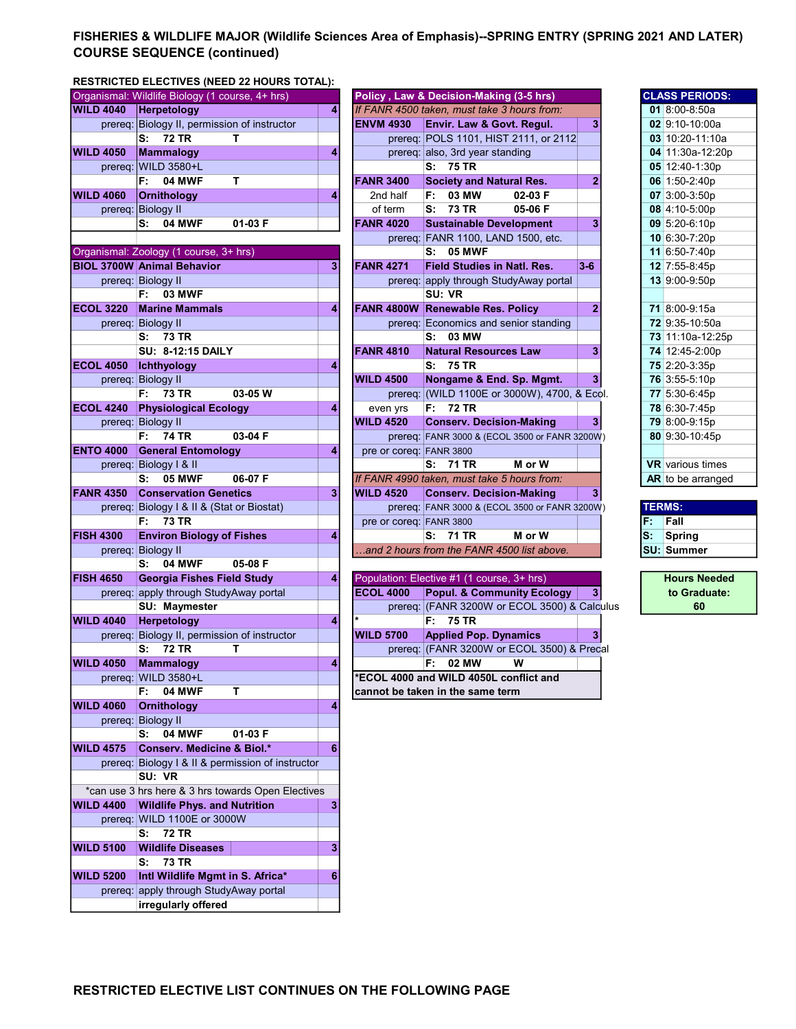## FISHERIES & WILDLIFE MAJOR (Wildlife Sciences Area of Emphasis)--SPRING ENTRY (SPRING 2021 AND LATER) COURSE SEQUENCE (continued)

## RESTRICTED ELECTIVES (NEED 22 HOURS TOTAL):

|                  | Organismal: Wildlife Biology (1 course, 4+ hrs)    |   |                         | Policy, Law & Decision-Making (3-5 hrs)       |                |    | <b>CLASS PERIODS:</b>               |
|------------------|----------------------------------------------------|---|-------------------------|-----------------------------------------------|----------------|----|-------------------------------------|
| <b>WILD 4040</b> | Herpetology                                        | 4 |                         | If FANR 4500 taken, must take 3 hours from:   |                |    | 01 $8:00 - 8:50a$                   |
|                  | prereq: Biology II, permission of instructor       |   | <b>ENVM 4930</b>        | Envir. Law & Govt. Regul.                     | 3              |    | $02$ 9:10-10:00a                    |
|                  | <b>72 TR</b><br>s:<br>т                            |   |                         | prereg: POLS 1101, HIST 2111, or 2112         |                |    | $03$ 10:20-11:10a                   |
| <b>WILD 4050</b> | Mammalogy                                          | 4 |                         | prereq: also, 3rd year standing               |                |    | 04 11:30a-12:20p                    |
| prereq:          | <b>WILD 3580+L</b>                                 |   |                         | S: 75 TR                                      |                |    | 05 12:40-1:30p                      |
|                  | т<br>F:<br><b>04 MWF</b>                           |   | <b>FANR 3400</b>        | <b>Society and Natural Res.</b>               | $\overline{2}$ |    | 06 1:50-2:40p                       |
| <b>WILD 4060</b> | <b>Ornithology</b>                                 | 4 | 2nd half                | F: 03 MW<br>02-03 F                           |                |    | 07 3:00-3:50p                       |
|                  | prereq: Biology II                                 |   | of term                 | S: 73 TR<br>05-06 F                           |                |    | 08 4:10-5:00p                       |
|                  | 04 MWF<br>01-03 F<br>s.                            |   | <b>FANR 4020</b>        | <b>Sustainable Development</b>                | 3              |    | 09 5:20-6:10p                       |
|                  |                                                    |   |                         | prereq: FANR 1100, LAND 1500, etc.            |                |    | 10 6:30-7:20p                       |
|                  | Organismal: Zoology (1 course, 3+ hrs)             |   |                         | S: 05 MWF                                     |                |    | 11 6:50-7:40p                       |
|                  | <b>BIOL 3700W Animal Behavior</b>                  | 3 | <b>FANR 4271</b>        | <b>Field Studies in Natl. Res.</b>            | $3 - 6$        |    | 12 7:55-8:45p                       |
|                  | prereq: Biology II                                 |   |                         | prereq: apply through StudyAway portal        |                |    | 13 9:00-9:50p                       |
|                  | F:<br><b>03 MWF</b>                                |   |                         | SU: VR                                        |                |    |                                     |
| <b>ECOL 3220</b> | <b>Marine Mammals</b>                              | 4 |                         | FANR 4800W Renewable Res. Policy              | $\overline{2}$ |    | 71 8:00-9:15a                       |
|                  |                                                    |   |                         | prereq: Economics and senior standing         |                |    | 72 9:35-10:50a                      |
|                  | prereq: Biology II<br>S: 73 TR                     |   |                         | S: 03 MW                                      |                |    |                                     |
|                  |                                                    |   |                         |                                               |                |    | 73 11:10a-12:25p                    |
|                  | <b>SU: 8-12:15 DAILY</b>                           |   | <b>FANR 4810</b>        | <b>Natural Resources Law</b>                  | 3              |    | 74 12:45-2:00p                      |
| <b>ECOL 4050</b> | Ichthyology                                        | 4 |                         | S: 75 TR                                      |                |    | 75 2:20-3:35p                       |
|                  | prereq: Biology II                                 |   | <b>WILD 4500</b>        | Nongame & End. Sp. Mgmt.                      | 3 <sup>1</sup> |    | 76 3:55-5:10p                       |
|                  | 73 TR<br>03-05 W<br>F:                             |   |                         | prereq: (WILD 1100E or 3000W), 4700, & Ecol.  |                |    | 77 5:30-6:45p                       |
| <b>ECOL 4240</b> | <b>Physiological Ecology</b>                       | 4 | even yrs                | F: 72 TR                                      |                |    | 78 6:30-7:45p                       |
|                  | prereq: Biology II                                 |   | <b>WILD 4520</b>        | <b>Conserv. Decision-Making</b>               | 3 <sup>1</sup> |    | 79 8:00-9:15p                       |
|                  | <b>74 TR</b><br>03-04 F<br>F:                      |   |                         | prereq: FANR 3000 & (ECOL 3500 or FANR 3200W) |                |    | 80 9:30-10:45p                      |
| <b>ENTO 4000</b> | <b>General Entomology</b>                          | 4 | pre or coreq: FANR 3800 |                                               |                |    |                                     |
|                  | prereq: Biology I & II                             |   |                         | S: 71 TR<br>M or W                            |                |    | <b>VR</b> various times             |
|                  | <b>05 MWF</b><br>06-07 F<br>s:                     |   |                         | If FANR 4990 taken, must take 5 hours from:   |                |    | AR to be arranged                   |
| <b>FANR 4350</b> | <b>Conservation Genetics</b>                       | 3 | <b>WILD 4520</b>        | <b>Conserv. Decision-Making</b>               | 3 <sup>1</sup> |    |                                     |
|                  | prereq: Biology I & II & (Stat or Biostat)         |   |                         | prereq: FANR 3000 & (ECOL 3500 or FANR 3200W) |                |    | <b>TERMS:</b>                       |
|                  |                                                    |   |                         |                                               |                |    | Fall                                |
|                  | <b>73 TR</b><br>F: .                               |   | pre or coreq: FANR 3800 |                                               |                | F. |                                     |
| <b>FISH 4300</b> | <b>Environ Biology of Fishes</b>                   | 4 |                         | S: 71 TR<br>M or W                            |                | S: | <b>Spring</b>                       |
|                  | prereq: Biology II                                 |   |                         | .and 2 hours from the FANR 4500 list above.   |                |    | <b>SU: Summer</b>                   |
|                  | <b>04 MWF</b><br>s:<br>05-08 F                     |   |                         |                                               |                |    |                                     |
| <b>FISH 4650</b> | <b>Georgia Fishes Field Study</b>                  | 4 |                         | Population: Elective #1 (1 course, 3+ hrs)    |                |    |                                     |
|                  | prereg: apply through StudyAway portal             |   | <b>ECOL 4000</b>        | <b>Popul. &amp; Community Ecology</b>         | 3              |    |                                     |
|                  | SU: Maymester                                      |   |                         | prereq: (FANR 3200W or ECOL 3500) & Calculus  |                |    | 60                                  |
| <b>WILD 4040</b> | Herpetology                                        | 4 |                         | F: 75 TR                                      |                |    |                                     |
| prereq:          | Biology II, permission of instructor               |   | <b>WILD 5700</b>        | <b>Applied Pop. Dynamics</b>                  | 3 <sup>1</sup> |    |                                     |
|                  | <b>72 TR</b><br>т<br>S:                            |   |                         | prereq: (FANR 3200W or ECOL 3500) & Precal    |                |    |                                     |
| <b>WILD 4050</b> | <b>Mammalogy</b>                                   | 4 |                         | F: 02 MW<br>w                                 |                |    |                                     |
|                  | prereq: WILD 3580+L                                |   |                         | *ECOL 4000 and WILD 4050L conflict and        |                |    |                                     |
|                  | 04 MWF<br>т<br>F:                                  |   |                         | cannot be taken in the same term              |                |    |                                     |
| <b>WILD 4060</b> | <b>Ornithology</b>                                 | 4 |                         |                                               |                |    |                                     |
|                  | prereq: Biology II                                 |   |                         |                                               |                |    |                                     |
|                  | 04 MWF<br>01-03 F<br>s:                            |   |                         |                                               |                |    |                                     |
| <b>WILD 4575</b> | <b>Conserv. Medicine &amp; Biol.*</b>              | 6 |                         |                                               |                |    |                                     |
|                  | prereq: Biology I & II & permission of instructor  |   |                         |                                               |                |    | <b>Hours Needed</b><br>to Graduate: |
|                  | SU: VR                                             |   |                         |                                               |                |    |                                     |
|                  | *can use 3 hrs here & 3 hrs towards Open Electives |   |                         |                                               |                |    |                                     |
| <b>WILD 4400</b> | <b>Wildlife Phys. and Nutrition</b>                |   |                         |                                               |                |    |                                     |
|                  | prereq: WILD 1100E or 3000W                        |   |                         |                                               |                |    |                                     |
|                  | <b>72 TR</b><br>s:                                 |   |                         |                                               |                |    |                                     |
| <b>WILD 5100</b> | <b>Wildlife Diseases</b>                           | 3 |                         |                                               |                |    |                                     |
|                  | <b>73 TR</b><br>s:                                 |   |                         |                                               |                |    |                                     |
| <b>WILD 5200</b> | Intl Wildlife Mgmt in S. Africa*                   | 6 |                         |                                               |                |    |                                     |
|                  | prereq: apply through StudyAway portal             |   |                         |                                               |                |    |                                     |
|                  | irregularly offered                                |   |                         |                                               |                |    |                                     |

|                  | ושלוט וואס ובני בנבט וואבט (ואבבט בב ווטטונט ווט ותבן. |   |                         |                                               |                         |               |                         |
|------------------|--------------------------------------------------------|---|-------------------------|-----------------------------------------------|-------------------------|---------------|-------------------------|
|                  | Organismal: Wildlife Biology (1 course, 4+ hrs)        |   |                         | Policy, Law & Decision-Making (3-5 hrs)       |                         |               | <b>CLASS PERIODS:</b>   |
| <b>WILD 4040</b> | <b>Herpetology</b>                                     | 4 |                         | If FANR 4500 taken, must take 3 hours from:   |                         |               | 01 8:00-8:50a           |
| prereq:          | Biology II, permission of instructor                   |   | <b>ENVM 4930</b>        | Envir. Law & Govt. Regul.                     | 3                       |               | 02 9:10-10:00a          |
|                  | S:<br><b>72 TR</b><br>т                                |   |                         | prereq: POLS 1101, HIST 2111, or 2112         |                         |               | 03 10:20-11:10a         |
| <b>WILD 4050</b> | <b>Mammalogy</b>                                       | 4 |                         | prereq: also, 3rd year standing               |                         |               | 04 11:30a-12:20p        |
| prereq:          | <b>WILD 3580+L</b>                                     |   |                         | S: 75 TR                                      |                         |               | 05 12:40-1:30p          |
|                  | 04 MWF<br>F:<br>T                                      |   | <b>FANR 3400</b>        | <b>Society and Natural Res.</b>               | $\overline{2}$          |               | 06 1:50-2:40p           |
| <b>WILD 4060</b> | <b>Ornithology</b>                                     | 4 | 2nd half                | 03 MW<br>02-03 F<br>F:                        |                         |               | 07 3:00-3:50p           |
|                  | prereq: Biology II                                     |   | of term                 | 73 TR<br>05-06 F<br>S:                        |                         |               | 08 4:10-5:00p           |
|                  | 04 MWF<br>$01-03$ F<br>s:                              |   | <b>FANR 4020</b>        | <b>Sustainable Development</b>                | 3                       |               | 09 5:20-6:10p           |
|                  |                                                        |   |                         | prereq: FANR 1100, LAND 1500, etc.            |                         |               | 10 6:30-7:20p           |
|                  | Organismal: Zoology (1 course, 3+ hrs)                 |   |                         | <b>S: 05 MWF</b>                              |                         |               | 11 6:50-7:40p           |
|                  | <b>BIOL 3700W Animal Behavior</b>                      | 3 | <b>FANR 4271</b>        | <b>Field Studies in Natl. Res.</b>            | $3-6$                   |               | 12 7:55-8:45p           |
|                  | prereq: Biology II                                     |   |                         | prereq: apply through StudyAway portal        |                         |               | 13 9:00-9:50p           |
|                  | 03 MWF<br>F:                                           |   |                         | SU: VR                                        |                         |               |                         |
| <b>ECOL 3220</b> | <b>Marine Mammals</b>                                  | 4 |                         | <b>FANR 4800W Renewable Res. Policy</b>       | $\mathbf{2}$            |               | 71 8:00-9:15a           |
|                  | prereq: Biology II                                     |   |                         | prereq: Economics and senior standing         |                         |               | 72 9:35-10:50a          |
|                  | S: 73 TR                                               |   |                         | S: 03 MW                                      |                         |               | 73 11:10a-12:25p        |
|                  | <b>SU: 8-12:15 DAILY</b>                               |   | <b>FANR 4810</b>        | <b>Natural Resources Law</b>                  | 3                       |               | 74 12:45-2:00p          |
| <b>ECOL 4050</b> | Ichthyology                                            | 4 |                         | S: 75 TR                                      |                         |               | 75 2:20-3:35p           |
|                  | prereq: Biology II                                     |   | <b>WILD 4500</b>        | Nongame & End. Sp. Mgmt.                      | 3 <sup>1</sup>          |               | 76 3:55-5:10p           |
|                  | 73 TR<br>03-05 W<br>F:                                 |   |                         | prereq: (WILD 1100E or 3000W), 4700, & Ecol.  |                         |               | 77 5:30-6:45p           |
| <b>ECOL 4240</b> | <b>Physiological Ecology</b>                           | 4 | even yrs                | F: 72 TR                                      |                         |               | 78 6:30-7:45p           |
|                  | prereq: Biology II                                     |   | <b>WILD 4520</b>        | <b>Conserv. Decision-Making</b>               | $\overline{\mathbf{3}}$ |               | 79 8:00-9:15p           |
|                  | <b>74 TR</b><br>03-04 F<br>F:                          |   |                         | prereq: FANR 3000 & (ECOL 3500 or FANR 3200W) |                         |               | 80 9:30-10:45p          |
| <b>ENTO 4000</b> | <b>General Entomology</b>                              | 4 | pre or coreq: FANR 3800 |                                               |                         |               |                         |
|                  | prereq: Biology I & II                                 |   |                         | M or W<br>S: 71 TR                            |                         |               | <b>VR</b> various times |
|                  | 06-07 F<br><b>05 MWF</b><br>s:                         |   |                         | If FANR 4990 taken, must take 5 hours from:   |                         |               | AR to be arranged       |
| <b>FANR 4350</b> | <b>Conservation Genetics</b>                           | 3 | <b>WILD 4520</b>        | <b>Conserv. Decision-Making</b>               | 3                       |               |                         |
|                  | prereq: Biology I & II & (Stat or Biostat)             |   |                         | prereq: FANR 3000 & (ECOL 3500 or FANR 3200W) |                         | <b>TERMS:</b> |                         |
|                  | 73 TR<br>F:                                            |   | pre or coreq: FANR 3800 |                                               |                         | F.            | Fall                    |
| <b>FISH 4300</b> | <b>Environ Biology of Fishes</b>                       | 4 |                         | M or W<br>S: 71 TR                            |                         | S.            | Spring                  |
|                  | prereq: Biology II                                     |   |                         | and 2 hours from the FANR 4500 list above.    |                         |               | <b>SU: Summer</b>       |
|                  | <b>04 MWF</b><br>05-08 F<br>s:                         |   |                         |                                               |                         |               |                         |
| <b>FISH 4650</b> | Georgia Fishes Field Study                             | 4 |                         | Population: Elective #1 (1 course, 3+ hrs)    |                         |               | <b>Hours Needed</b>     |
|                  |                                                        |   |                         |                                               |                         |               |                         |

| 10JU | <b>UBOLYIA FISHES FIBIU SLUUV</b>            | . . |                  | <b>I</b> PODURIJOH. EJEČIJ JE # I TI COUISE. JE HIST |  |
|------|----------------------------------------------|-----|------------------|------------------------------------------------------|--|
|      | prereg: apply through StudyAway portal       |     | <b>ECOL 4000</b> | <b>Popul. &amp; Community Ecology</b>                |  |
|      | <b>SU: Maymester</b>                         |     |                  | prereq: (FANR 3200W or ECOL 3500) & Calculus         |  |
| 4040 | <b>Herpetology</b>                           |     |                  | F: 75 TR                                             |  |
|      | prereq: Biology II, permission of instructor |     | <b>WILD 5700</b> | <b>Applied Pop. Dynamics</b>                         |  |
|      | S: 72 TR                                     |     |                  | prereq: (FANR 3200W or ECOL 3500) & Precal           |  |
| 4050 | <b>Mammalogy</b>                             | 4   |                  | 02 MW<br>w<br>F:                                     |  |
|      | prereg: WILD 3580+L                          |     |                  | FECOL 4000 and WILD 4050L conflict and               |  |
|      | <b>04 MWF</b><br>F:                          |     |                  | cannot be taken in the same term                     |  |

|    | <b>CLASS PERIODS:</b>   |
|----|-------------------------|
| 01 | $8:00 - 8:50a$          |
|    | 02 9:10-10:00a          |
|    | 03 10:20-11:10a         |
|    | 04 11:30a-12:20p        |
|    | 05 12:40-1:30p          |
|    | 06 1:50-2:40p           |
|    | $07$ 3:00-3:50p         |
|    | 08 4:10-5:00p           |
|    | 09 5:20-6:10p           |
|    | 10 6:30-7:20p           |
|    | 11 6:50-7:40p           |
|    | 12 7:55-8:45p           |
|    | 13 9:00-9:50p           |
|    |                         |
|    | 71 8:00-9:15a           |
|    | 72 9:35-10:50a          |
|    | 73 11:10a-12:25p        |
|    | 74 12:45-2:00p          |
|    | 75 2:20-3:35p           |
|    | 76 3:55-5:10p           |
|    | 77 5:30-6:45p           |
|    | 78 6:30-7:45p           |
|    | 79 8:00-9:15p           |
|    | 80 9:30-10:45p          |
|    |                         |
|    | <b>VR</b> various times |
|    | AR to be arranged       |

| Fall              |
|-------------------|
| Spring            |
| <b>SU: Summer</b> |

to Graduate: Hours Needed 60